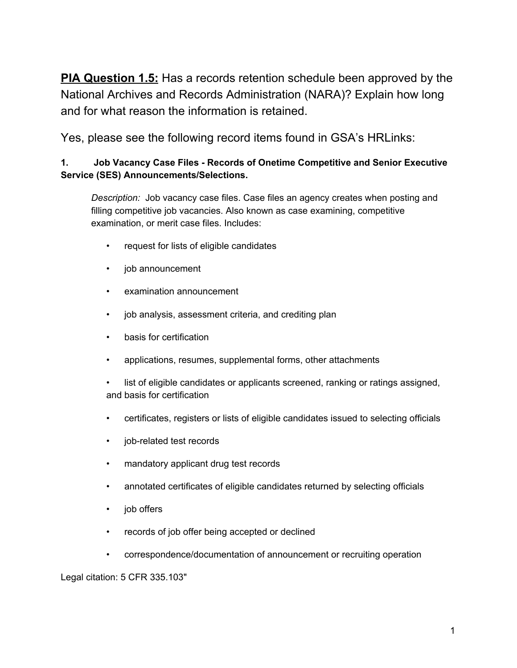**PIA Question 1.5:** Has a records retention schedule been approved by the National Archives and Records Administration (NARA)? Explain how long and for what reason the information is retained.

Yes, please see the following record items found in GSA's HRLinks:

# **1. Job Vacancy Case Files - Records of Onetime Competitive and Senior Executive Service (SES) Announcements/Selections.**

*Description:* Job vacancy case files. Case files an agency creates when posting and filling competitive job vacancies. Also known as case examining, competitive examination, or merit case files. Includes:

- request for lists of eligible candidates
- job announcement
- examination announcement
- job analysis, assessment criteria, and crediting plan
- basis for certification
- applications, resumes, supplemental forms, other attachments
- list of eligible candidates or applicants screened, ranking or ratings assigned, and basis for certification
- certificates, registers or lists of eligible candidates issued to selecting officials
- job-related test records
- mandatory applicant drug test records
- annotated certificates of eligible candidates returned by selecting officials
- job offers
- records of job offer being accepted or declined
- correspondence/documentation of announcement or recruiting operation

Legal citation: 5 CFR 335.103"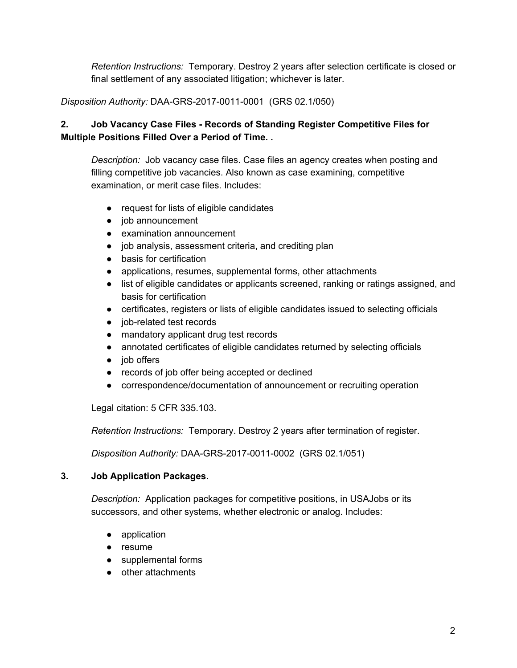*Retention Instructions:* Temporary. Destroy 2 years after selection certificate is closed or final settlement of any associated litigation; whichever is later.

*Disposition Authority:* DAA-GRS-2017-0011-0001 (GRS 02.1/050)

# **2. Job Vacancy Case Files - Records of Standing Register Competitive Files for Multiple Positions Filled Over a Period of Time. .**

*Description:* Job vacancy case files. Case files an agency creates when posting and filling competitive job vacancies. Also known as case examining, competitive examination, or merit case files. Includes:

- request for lists of eligible candidates
- job announcement
- examination announcement
- job analysis, assessment criteria, and crediting plan
- basis for certification
- applications, resumes, supplemental forms, other attachments
- list of eligible candidates or applicants screened, ranking or ratings assigned, and basis for certification
- certificates, registers or lists of eligible candidates issued to selecting officials
- job-related test records
- mandatory applicant drug test records
- annotated certificates of eligible candidates returned by selecting officials
- job offers
- records of job offer being accepted or declined
- correspondence/documentation of announcement or recruiting operation

Legal citation: 5 CFR 335.103.

*Retention Instructions:* Temporary. Destroy 2 years after termination of register.

*Disposition Authority:* DAA-GRS-2017-0011-0002 (GRS 02.1/051)

## **3. Job Application Packages.**

*Description:* Application packages for competitive positions, in USAJobs or its successors, and other systems, whether electronic or analog. Includes:

- application
- resume
- supplemental forms
- other attachments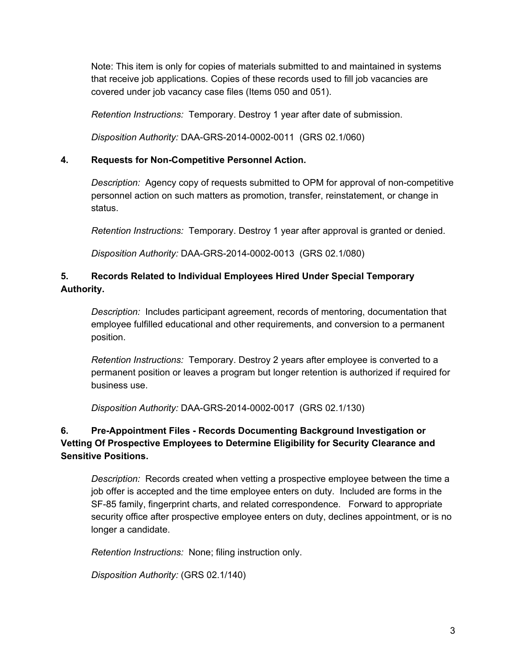Note: This item is only for copies of materials submitted to and maintained in systems that receive job applications. Copies of these records used to fill job vacancies are covered under job vacancy case files (Items 050 and 051).

*Retention Instructions:* Temporary. Destroy 1 year after date of submission.

*Disposition Authority:* DAA-GRS-2014-0002-0011 (GRS 02.1/060)

## **4. Requests for Non-Competitive Personnel Action.**

*Description:* Agency copy of requests submitted to OPM for approval of non-competitive personnel action on such matters as promotion, transfer, reinstatement, or change in status.

*Retention Instructions:* Temporary. Destroy 1 year after approval is granted or denied.

*Disposition Authority:* DAA-GRS-2014-0002-0013 (GRS 02.1/080)

# **5. Records Related to Individual Employees Hired Under Special Temporary Authority.**

*Description:* Includes participant agreement, records of mentoring, documentation that employee fulfilled educational and other requirements, and conversion to a permanent position.

*Retention Instructions:* Temporary. Destroy 2 years after employee is converted to a permanent position or leaves a program but longer retention is authorized if required for business use.

*Disposition Authority:* DAA-GRS-2014-0002-0017 (GRS 02.1/130)

# **6. Pre-Appointment Files - Records Documenting Background Investigation or Vetting Of Prospective Employees to Determine Eligibility for Security Clearance and Sensitive Positions.**

*Description:* Records created when vetting a prospective employee between the time a job offer is accepted and the time employee enters on duty. Included are forms in the SF-85 family, fingerprint charts, and related correspondence. Forward to appropriate security office after prospective employee enters on duty, declines appointment, or is no longer a candidate.

*Retention Instructions:* None; filing instruction only.

*Disposition Authority:* (GRS 02.1/140)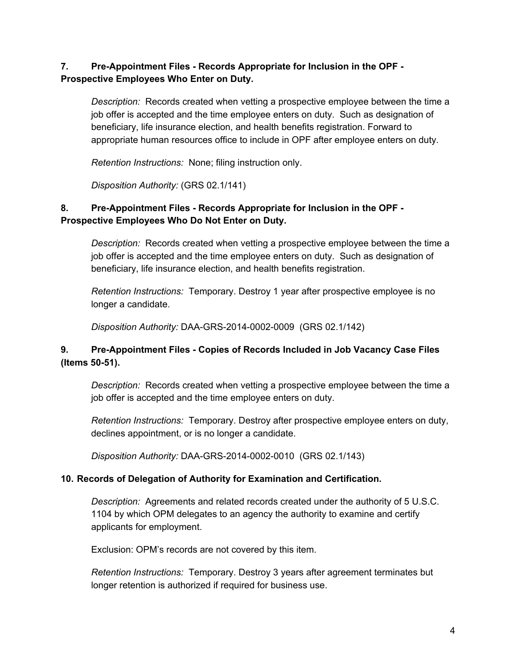# **7. Pre-Appointment Files - Records Appropriate for Inclusion in the OPF - Prospective Employees Who Enter on Duty.**

*Description:* Records created when vetting a prospective employee between the time a job offer is accepted and the time employee enters on duty. Such as designation of beneficiary, life insurance election, and health benefits registration. Forward to appropriate human resources office to include in OPF after employee enters on duty.

*Retention Instructions:* None; filing instruction only.

*Disposition Authority:* (GRS 02.1/141)

# **8. Pre-Appointment Files - Records Appropriate for Inclusion in the OPF - Prospective Employees Who Do Not Enter on Duty.**

*Description:* Records created when vetting a prospective employee between the time a job offer is accepted and the time employee enters on duty. Such as designation of beneficiary, life insurance election, and health benefits registration.

*Retention Instructions:* Temporary. Destroy 1 year after prospective employee is no longer a candidate.

*Disposition Authority:* DAA-GRS-2014-0002-0009 (GRS 02.1/142)

# **9. Pre-Appointment Files - Copies of Records Included in Job Vacancy Case Files (Items 50-51).**

*Description:* Records created when vetting a prospective employee between the time a job offer is accepted and the time employee enters on duty.

*Retention Instructions:* Temporary. Destroy after prospective employee enters on duty, declines appointment, or is no longer a candidate.

*Disposition Authority:* DAA-GRS-2014-0002-0010 (GRS 02.1/143)

## **10. Records of Delegation of Authority for Examination and Certification.**

*Description:* Agreements and related records created under the authority of 5 U.S.C. 1104 by which OPM delegates to an agency the authority to examine and certify applicants for employment.

Exclusion: OPM's records are not covered by this item.

*Retention Instructions:* Temporary. Destroy 3 years after agreement terminates but longer retention is authorized if required for business use.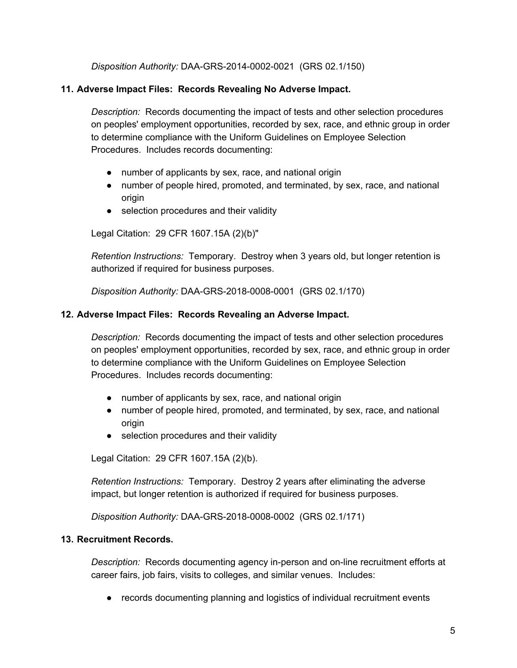*Disposition Authority:* DAA-GRS-2014-0002-0021 (GRS 02.1/150)

## **11. Adverse Impact Files: Records Revealing No Adverse Impact.**

*Description:* Records documenting the impact of tests and other selection procedures on peoples' employment opportunities, recorded by sex, race, and ethnic group in order to determine compliance with the Uniform Guidelines on Employee Selection Procedures. Includes records documenting:

- number of applicants by sex, race, and national origin
- number of people hired, promoted, and terminated, by sex, race, and national origin
- selection procedures and their validity

Legal Citation: 29 CFR 1607.15A (2)(b)"

*Retention Instructions:* Temporary. Destroy when 3 years old, but longer retention is authorized if required for business purposes.

*Disposition Authority:* DAA-GRS-2018-0008-0001 (GRS 02.1/170)

### **12. Adverse Impact Files: Records Revealing an Adverse Impact.**

*Description:* Records documenting the impact of tests and other selection procedures on peoples' employment opportunities, recorded by sex, race, and ethnic group in order to determine compliance with the Uniform Guidelines on Employee Selection Procedures. Includes records documenting:

- number of applicants by sex, race, and national origin
- number of people hired, promoted, and terminated, by sex, race, and national origin
- selection procedures and their validity

Legal Citation: 29 CFR 1607.15A (2)(b).

*Retention Instructions:* Temporary. Destroy 2 years after eliminating the adverse impact, but longer retention is authorized if required for business purposes.

*Disposition Authority:* DAA-GRS-2018-0008-0002 (GRS 02.1/171)

## **13. Recruitment Records.**

*Description:* Records documenting agency in-person and on-line recruitment efforts at career fairs, job fairs, visits to colleges, and similar venues. Includes:

● records documenting planning and logistics of individual recruitment events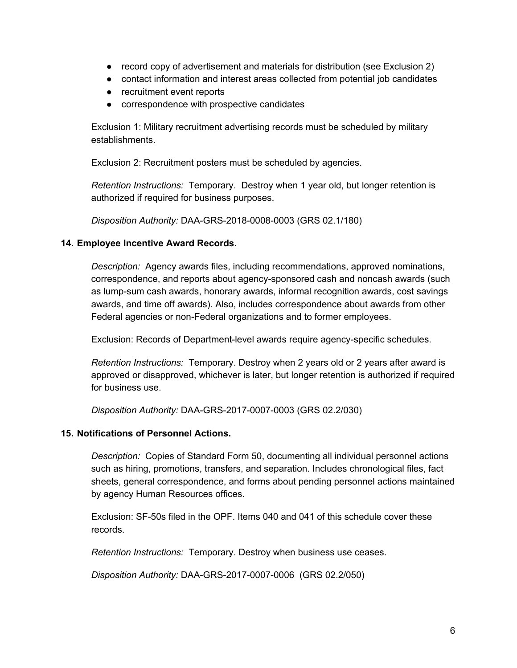- record copy of advertisement and materials for distribution (see Exclusion 2)
- contact information and interest areas collected from potential job candidates
- recruitment event reports
- correspondence with prospective candidates

Exclusion 1: Military recruitment advertising records must be scheduled by military establishments.

Exclusion 2: Recruitment posters must be scheduled by agencies.

*Retention Instructions:* Temporary. Destroy when 1 year old, but longer retention is authorized if required for business purposes.

*Disposition Authority:* DAA-GRS-2018-0008-0003 (GRS 02.1/180)

#### **14. Employee Incentive Award Records.**

*Description:* Agency awards files, including recommendations, approved nominations, correspondence, and reports about agency-sponsored cash and noncash awards (such as lump-sum cash awards, honorary awards, informal recognition awards, cost savings awards, and time off awards). Also, includes correspondence about awards from other Federal agencies or non-Federal organizations and to former employees.

Exclusion: Records of Department-level awards require agency-specific schedules.

*Retention Instructions:* Temporary. Destroy when 2 years old or 2 years after award is approved or disapproved, whichever is later, but longer retention is authorized if required for business use.

*Disposition Authority:* DAA-GRS-2017-0007-0003 (GRS 02.2/030)

#### **15. Notifications of Personnel Actions.**

*Description:* Copies of Standard Form 50, documenting all individual personnel actions such as hiring, promotions, transfers, and separation. Includes chronological files, fact sheets, general correspondence, and forms about pending personnel actions maintained by agency Human Resources offices.

Exclusion: SF-50s filed in the OPF. Items 040 and 041 of this schedule cover these records.

*Retention Instructions:* Temporary. Destroy when business use ceases.

*Disposition Authority:* DAA-GRS-2017-0007-0006 (GRS 02.2/050)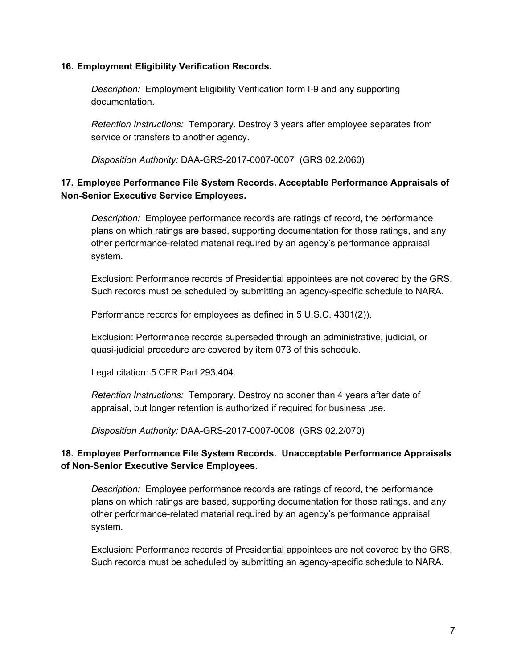#### **16. Employment Eligibility Verification Records.**

*Description:* Employment Eligibility Verification form I-9 and any supporting documentation.

*Retention Instructions:* Temporary. Destroy 3 years after employee separates from service or transfers to another agency.

*Disposition Authority:* DAA-GRS-2017-0007-0007 (GRS 02.2/060)

## **17. Employee Performance File System Records. Acceptable Performance Appraisals of Non-Senior Executive Service Employees.**

*Description:* Employee performance records are ratings of record, the performance plans on which ratings are based, supporting documentation for those ratings, and any other performance-related material required by an agency's performance appraisal system.

Exclusion: Performance records of Presidential appointees are not covered by the GRS. Such records must be scheduled by submitting an agency-specific schedule to NARA.

Performance records for employees as defined in 5 U.S.C. 4301(2)).

Exclusion: Performance records superseded through an administrative, judicial, or quasi-judicial procedure are covered by item 073 of this schedule.

Legal citation: 5 CFR Part 293.404.

*Retention Instructions:* Temporary. Destroy no sooner than 4 years after date of appraisal, but longer retention is authorized if required for business use.

*Disposition Authority:* DAA-GRS-2017-0007-0008 (GRS 02.2/070)

## **18. Employee Performance File System Records. Unacceptable Performance Appraisals of Non-Senior Executive Service Employees.**

*Description:* Employee performance records are ratings of record, the performance plans on which ratings are based, supporting documentation for those ratings, and any other performance-related material required by an agency's performance appraisal system.

Exclusion: Performance records of Presidential appointees are not covered by the GRS. Such records must be scheduled by submitting an agency-specific schedule to NARA.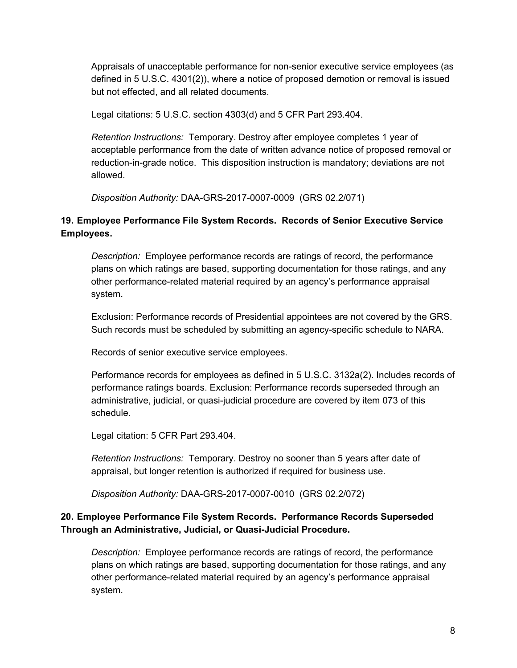Appraisals of unacceptable performance for non-senior executive service employees (as defined in 5 U.S.C. 4301(2)), where a notice of proposed demotion or removal is issued but not effected, and all related documents.

Legal citations: 5 U.S.C. section 4303(d) and 5 CFR Part 293.404.

*Retention Instructions:* Temporary. Destroy after employee completes 1 year of acceptable performance from the date of written advance notice of proposed removal or reduction-in-grade notice. This disposition instruction is mandatory; deviations are not allowed.

*Disposition Authority:* DAA-GRS-2017-0007-0009 (GRS 02.2/071)

## **19. Employee Performance File System Records. Records of Senior Executive Service Employees.**

*Description:* Employee performance records are ratings of record, the performance plans on which ratings are based, supporting documentation for those ratings, and any other performance-related material required by an agency's performance appraisal system.

Exclusion: Performance records of Presidential appointees are not covered by the GRS. Such records must be scheduled by submitting an agency-specific schedule to NARA.

Records of senior executive service employees.

Performance records for employees as defined in 5 U.S.C. 3132a(2). Includes records of performance ratings boards. Exclusion: Performance records superseded through an administrative, judicial, or quasi-judicial procedure are covered by item 073 of this schedule.

Legal citation: 5 CFR Part 293.404.

*Retention Instructions:* Temporary. Destroy no sooner than 5 years after date of appraisal, but longer retention is authorized if required for business use.

*Disposition Authority:* DAA-GRS-2017-0007-0010 (GRS 02.2/072)

## **20. Employee Performance File System Records. Performance Records Superseded Through an Administrative, Judicial, or Quasi-Judicial Procedure.**

*Description:* Employee performance records are ratings of record, the performance plans on which ratings are based, supporting documentation for those ratings, and any other performance-related material required by an agency's performance appraisal system.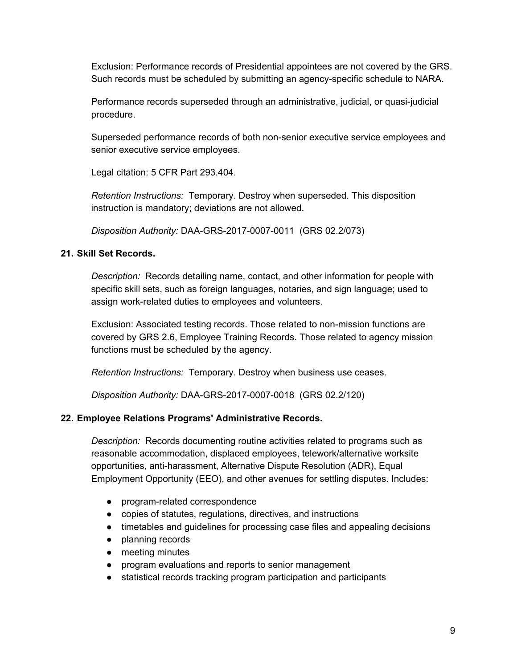Exclusion: Performance records of Presidential appointees are not covered by the GRS. Such records must be scheduled by submitting an agency-specific schedule to NARA.

Performance records superseded through an administrative, judicial, or quasi-judicial procedure.

Superseded performance records of both non-senior executive service employees and senior executive service employees.

Legal citation: 5 CFR Part 293.404.

*Retention Instructions:* Temporary. Destroy when superseded. This disposition instruction is mandatory; deviations are not allowed.

*Disposition Authority:* DAA-GRS-2017-0007-0011 (GRS 02.2/073)

### **21. Skill Set Records.**

*Description:* Records detailing name, contact, and other information for people with specific skill sets, such as foreign languages, notaries, and sign language; used to assign work-related duties to employees and volunteers.

Exclusion: Associated testing records. Those related to non-mission functions are covered by GRS 2.6, Employee Training Records. Those related to agency mission functions must be scheduled by the agency.

*Retention Instructions:* Temporary. Destroy when business use ceases.

*Disposition Authority:* DAA-GRS-2017-0007-0018 (GRS 02.2/120)

## **22. Employee Relations Programs' Administrative Records.**

*Description:* Records documenting routine activities related to programs such as reasonable accommodation, displaced employees, telework/alternative worksite opportunities, anti-harassment, Alternative Dispute Resolution (ADR), Equal Employment Opportunity (EEO), and other avenues for settling disputes. Includes:

- program-related correspondence
- copies of statutes, regulations, directives, and instructions
- timetables and guidelines for processing case files and appealing decisions
- planning records
- meeting minutes
- program evaluations and reports to senior management
- statistical records tracking program participation and participants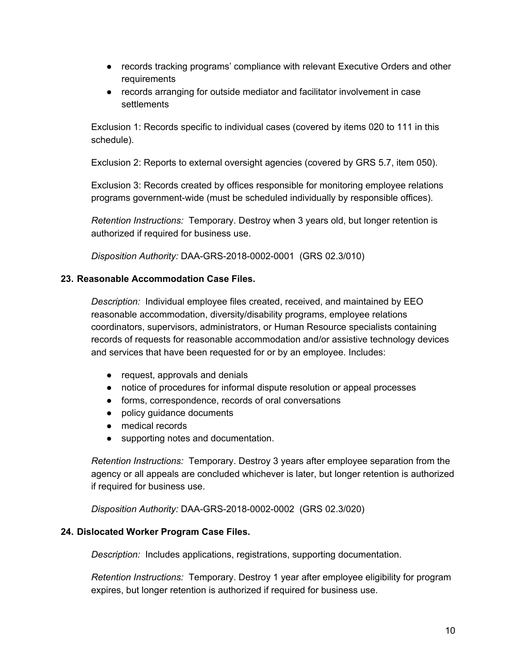- records tracking programs' compliance with relevant Executive Orders and other requirements
- records arranging for outside mediator and facilitator involvement in case **settlements**

Exclusion 1: Records specific to individual cases (covered by items 020 to 111 in this schedule).

Exclusion 2: Reports to external oversight agencies (covered by GRS 5.7, item 050).

Exclusion 3: Records created by offices responsible for monitoring employee relations programs government-wide (must be scheduled individually by responsible offices).

*Retention Instructions:* Temporary. Destroy when 3 years old, but longer retention is authorized if required for business use.

*Disposition Authority:* DAA-GRS-2018-0002-0001 (GRS 02.3/010)

#### **23. Reasonable Accommodation Case Files.**

*Description:* Individual employee files created, received, and maintained by EEO reasonable accommodation, diversity/disability programs, employee relations coordinators, supervisors, administrators, or Human Resource specialists containing records of requests for reasonable accommodation and/or assistive technology devices and services that have been requested for or by an employee. Includes:

- request, approvals and denials
- notice of procedures for informal dispute resolution or appeal processes
- forms, correspondence, records of oral conversations
- policy guidance documents
- medical records
- supporting notes and documentation.

*Retention Instructions:* Temporary. Destroy 3 years after employee separation from the agency or all appeals are concluded whichever is later, but longer retention is authorized if required for business use.

*Disposition Authority:* DAA-GRS-2018-0002-0002 (GRS 02.3/020)

#### **24. Dislocated Worker Program Case Files.**

*Description:* Includes applications, registrations, supporting documentation.

*Retention Instructions:* Temporary. Destroy 1 year after employee eligibility for program expires, but longer retention is authorized if required for business use.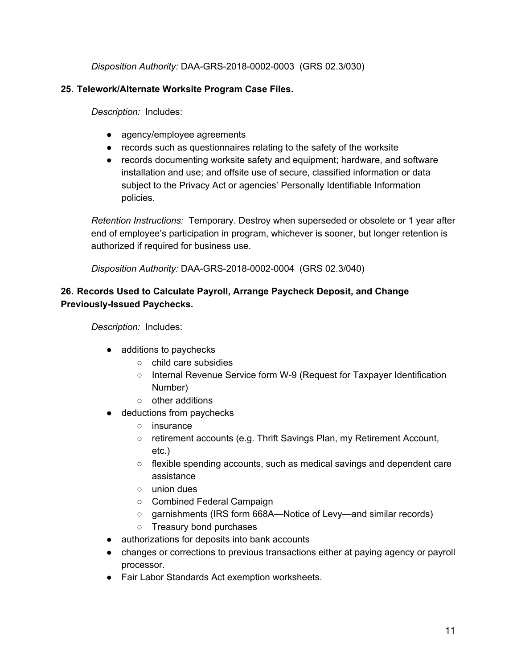*Disposition Authority:* DAA-GRS-2018-0002-0003 (GRS 02.3/030)

## **25. Telework/Alternate Worksite Program Case Files.**

*Description:* Includes:

- agency/employee agreements
- records such as questionnaires relating to the safety of the worksite
- records documenting worksite safety and equipment; hardware, and software installation and use; and offsite use of secure, classified information or data subject to the Privacy Act or agencies' Personally Identifiable Information policies.

*Retention Instructions:* Temporary. Destroy when superseded or obsolete or 1 year after end of employee's participation in program, whichever is sooner, but longer retention is authorized if required for business use.

*Disposition Authority:* DAA-GRS-2018-0002-0004 (GRS 02.3/040)

## **26. Records Used to Calculate Payroll, Arrange Paycheck Deposit, and Change Previously-Issued Paychecks.**

*Description:* Includes:

- additions to paychecks
	- child care subsidies
	- Internal Revenue Service form W-9 (Request for Taxpayer Identification Number)
	- other additions
- deductions from paychecks
	- insurance
	- retirement accounts (e.g. Thrift Savings Plan, my Retirement Account, etc.)
	- flexible spending accounts, such as medical savings and dependent care assistance
	- union dues
	- Combined Federal Campaign
	- garnishments (IRS form 668A—Notice of Levy—and similar records)
	- Treasury bond purchases
- authorizations for deposits into bank accounts
- changes or corrections to previous transactions either at paying agency or payroll processor.
- Fair Labor Standards Act exemption worksheets.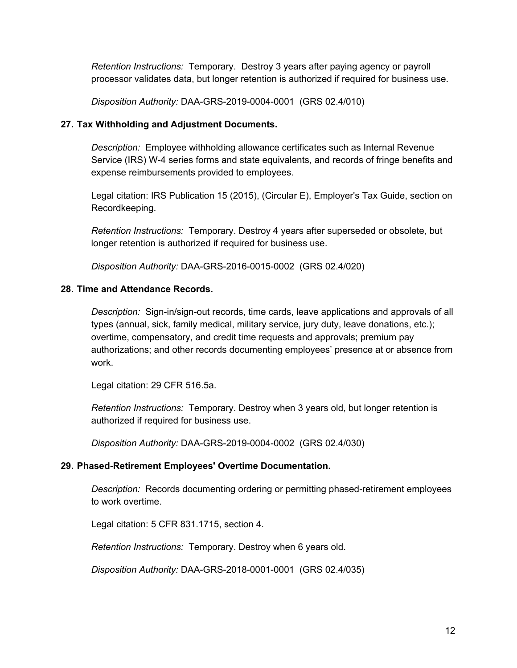*Retention Instructions:* Temporary. Destroy 3 years after paying agency or payroll processor validates data, but longer retention is authorized if required for business use.

*Disposition Authority:* DAA-GRS-2019-0004-0001 (GRS 02.4/010)

#### **27. Tax Withholding and Adjustment Documents.**

*Description:* Employee withholding allowance certificates such as Internal Revenue Service (IRS) W-4 series forms and state equivalents, and records of fringe benefits and expense reimbursements provided to employees.

Legal citation: IRS Publication 15 (2015), (Circular E), Employer's Tax Guide, section on Recordkeeping.

*Retention Instructions:* Temporary. Destroy 4 years after superseded or obsolete, but longer retention is authorized if required for business use.

*Disposition Authority:* DAA-GRS-2016-0015-0002 (GRS 02.4/020)

### **28. Time and Attendance Records.**

*Description:* Sign-in/sign-out records, time cards, leave applications and approvals of all types (annual, sick, family medical, military service, jury duty, leave donations, etc.); overtime, compensatory, and credit time requests and approvals; premium pay authorizations; and other records documenting employees' presence at or absence from work.

Legal citation: 29 CFR 516.5a.

*Retention Instructions:* Temporary. Destroy when 3 years old, but longer retention is authorized if required for business use.

*Disposition Authority:* DAA-GRS-2019-0004-0002 (GRS 02.4/030)

#### **29. Phased-Retirement Employees' Overtime Documentation.**

*Description:* Records documenting ordering or permitting phased-retirement employees to work overtime.

Legal citation: 5 CFR 831.1715, section 4.

*Retention Instructions:* Temporary. Destroy when 6 years old.

*Disposition Authority:* DAA-GRS-2018-0001-0001 (GRS 02.4/035)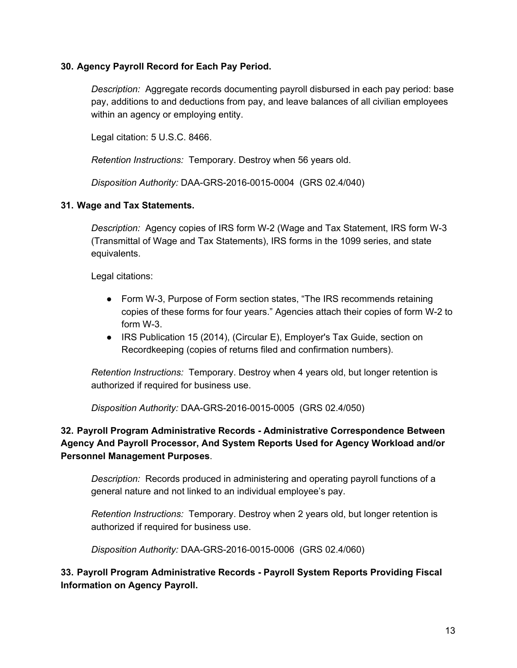## **30. Agency Payroll Record for Each Pay Period.**

*Description:* Aggregate records documenting payroll disbursed in each pay period: base pay, additions to and deductions from pay, and leave balances of all civilian employees within an agency or employing entity.

Legal citation: 5 U.S.C. 8466.

*Retention Instructions:* Temporary. Destroy when 56 years old.

*Disposition Authority:* DAA-GRS-2016-0015-0004 (GRS 02.4/040)

### **31. Wage and Tax Statements.**

*Description:* Agency copies of IRS form W-2 (Wage and Tax Statement, IRS form W-3 (Transmittal of Wage and Tax Statements), IRS forms in the 1099 series, and state equivalents.

Legal citations:

- Form W-3, Purpose of Form section states, "The IRS recommends retaining copies of these forms for four years." Agencies attach their copies of form W-2 to form W-3.
- IRS Publication 15 (2014), (Circular E), Employer's Tax Guide, section on Recordkeeping (copies of returns filed and confirmation numbers).

*Retention Instructions:* Temporary. Destroy when 4 years old, but longer retention is authorized if required for business use.

*Disposition Authority:* DAA-GRS-2016-0015-0005 (GRS 02.4/050)

# **32. Payroll Program Administrative Records - Administrative Correspondence Between Agency And Payroll Processor, And System Reports Used for Agency Workload and/or Personnel Management Purposes**.

*Description:* Records produced in administering and operating payroll functions of a general nature and not linked to an individual employee's pay.

*Retention Instructions:* Temporary. Destroy when 2 years old, but longer retention is authorized if required for business use.

*Disposition Authority:* DAA-GRS-2016-0015-0006 (GRS 02.4/060)

**33. Payroll Program Administrative Records - Payroll System Reports Providing Fiscal Information on Agency Payroll.**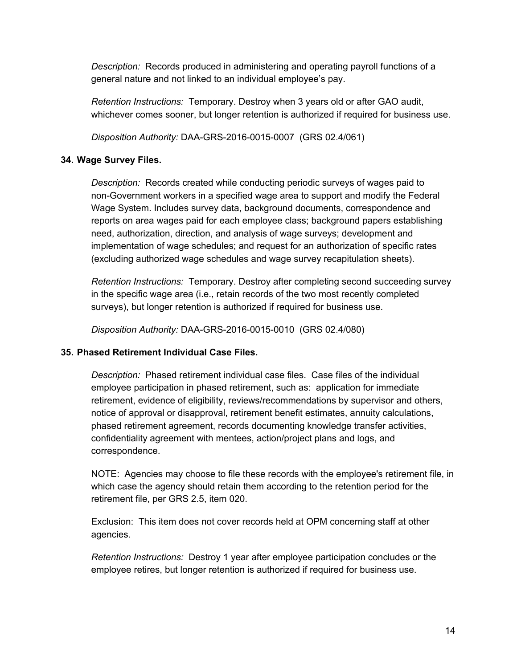*Description:* Records produced in administering and operating payroll functions of a general nature and not linked to an individual employee's pay.

*Retention Instructions:* Temporary. Destroy when 3 years old or after GAO audit, whichever comes sooner, but longer retention is authorized if required for business use.

*Disposition Authority:* DAA-GRS-2016-0015-0007 (GRS 02.4/061)

### **34. Wage Survey Files.**

*Description:* Records created while conducting periodic surveys of wages paid to non-Government workers in a specified wage area to support and modify the Federal Wage System. Includes survey data, background documents, correspondence and reports on area wages paid for each employee class; background papers establishing need, authorization, direction, and analysis of wage surveys; development and implementation of wage schedules; and request for an authorization of specific rates (excluding authorized wage schedules and wage survey recapitulation sheets).

*Retention Instructions:* Temporary. Destroy after completing second succeeding survey in the specific wage area (i.e., retain records of the two most recently completed surveys), but longer retention is authorized if required for business use.

*Disposition Authority:* DAA-GRS-2016-0015-0010 (GRS 02.4/080)

#### **35. Phased Retirement Individual Case Files.**

*Description:* Phased retirement individual case files. Case files of the individual employee participation in phased retirement, such as: application for immediate retirement, evidence of eligibility, reviews/recommendations by supervisor and others, notice of approval or disapproval, retirement benefit estimates, annuity calculations, phased retirement agreement, records documenting knowledge transfer activities, confidentiality agreement with mentees, action/project plans and logs, and correspondence.

NOTE: Agencies may choose to file these records with the employee's retirement file, in which case the agency should retain them according to the retention period for the retirement file, per GRS 2.5, item 020.

Exclusion: This item does not cover records held at OPM concerning staff at other agencies.

*Retention Instructions:* Destroy 1 year after employee participation concludes or the employee retires, but longer retention is authorized if required for business use.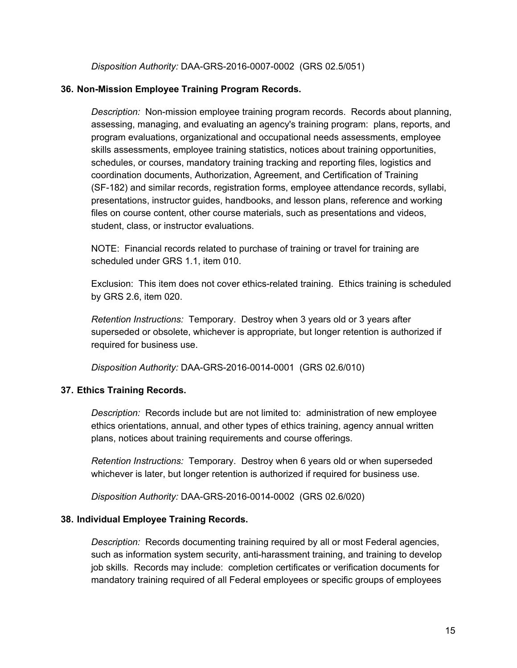*Disposition Authority:* DAA-GRS-2016-0007-0002 (GRS 02.5/051)

#### **36. Non-Mission Employee Training Program Records.**

*Description:* Non-mission employee training program records. Records about planning, assessing, managing, and evaluating an agency's training program: plans, reports, and program evaluations, organizational and occupational needs assessments, employee skills assessments, employee training statistics, notices about training opportunities, schedules, or courses, mandatory training tracking and reporting files, logistics and coordination documents, Authorization, Agreement, and Certification of Training (SF-182) and similar records, registration forms, employee attendance records, syllabi, presentations, instructor guides, handbooks, and lesson plans, reference and working files on course content, other course materials, such as presentations and videos, student, class, or instructor evaluations.

NOTE: Financial records related to purchase of training or travel for training are scheduled under GRS 1.1, item 010.

Exclusion: This item does not cover ethics-related training. Ethics training is scheduled by GRS 2.6, item 020.

*Retention Instructions:* Temporary. Destroy when 3 years old or 3 years after superseded or obsolete, whichever is appropriate, but longer retention is authorized if required for business use.

*Disposition Authority:* DAA-GRS-2016-0014-0001 (GRS 02.6/010)

#### **37. Ethics Training Records.**

*Description:* Records include but are not limited to: administration of new employee ethics orientations, annual, and other types of ethics training, agency annual written plans, notices about training requirements and course offerings.

*Retention Instructions:* Temporary. Destroy when 6 years old or when superseded whichever is later, but longer retention is authorized if required for business use.

*Disposition Authority:* DAA-GRS-2016-0014-0002 (GRS 02.6/020)

#### **38. Individual Employee Training Records.**

*Description:* Records documenting training required by all or most Federal agencies, such as information system security, anti-harassment training, and training to develop job skills. Records may include: completion certificates or verification documents for mandatory training required of all Federal employees or specific groups of employees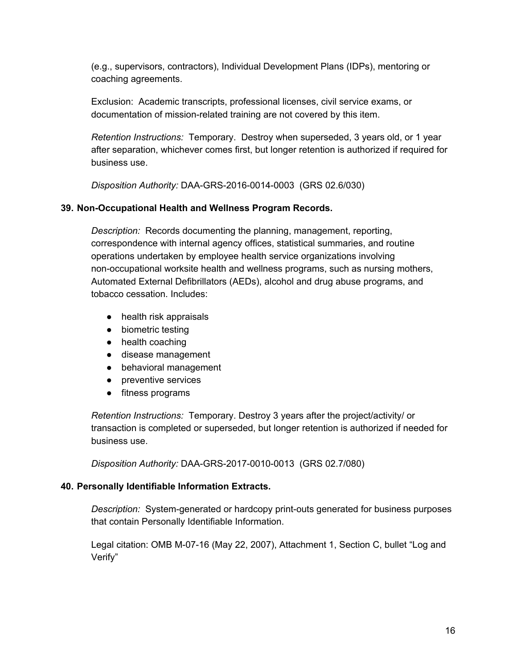(e.g., supervisors, contractors), Individual Development Plans (IDPs), mentoring or coaching agreements.

Exclusion: Academic transcripts, professional licenses, civil service exams, or documentation of mission-related training are not covered by this item.

*Retention Instructions:* Temporary. Destroy when superseded, 3 years old, or 1 year after separation, whichever comes first, but longer retention is authorized if required for business use.

*Disposition Authority:* DAA-GRS-2016-0014-0003 (GRS 02.6/030)

## **39. Non-Occupational Health and Wellness Program Records.**

*Description:* Records documenting the planning, management, reporting, correspondence with internal agency offices, statistical summaries, and routine operations undertaken by employee health service organizations involving non-occupational worksite health and wellness programs, such as nursing mothers, Automated External Defibrillators (AEDs), alcohol and drug abuse programs, and tobacco cessation. Includes:

- health risk appraisals
- biometric testing
- health coaching
- disease management
- behavioral management
- preventive services
- fitness programs

*Retention Instructions:* Temporary. Destroy 3 years after the project/activity/ or transaction is completed or superseded, but longer retention is authorized if needed for business use.

*Disposition Authority:* DAA-GRS-2017-0010-0013 (GRS 02.7/080)

#### **40. Personally Identifiable Information Extracts.**

*Description:* System-generated or hardcopy print-outs generated for business purposes that contain Personally Identifiable Information.

Legal citation: OMB M-07-16 (May 22, 2007), Attachment 1, Section C, bullet "Log and Verify"